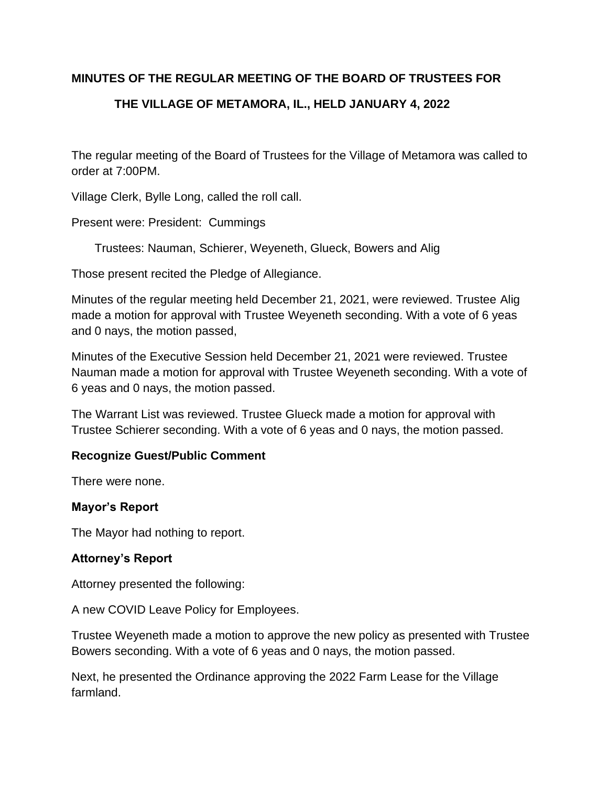# **MINUTES OF THE REGULAR MEETING OF THE BOARD OF TRUSTEES FOR**

# **THE VILLAGE OF METAMORA, IL., HELD JANUARY 4, 2022**

The regular meeting of the Board of Trustees for the Village of Metamora was called to order at 7:00PM.

Village Clerk, Bylle Long, called the roll call.

Present were: President: Cummings

Trustees: Nauman, Schierer, Weyeneth, Glueck, Bowers and Alig

Those present recited the Pledge of Allegiance.

Minutes of the regular meeting held December 21, 2021, were reviewed. Trustee Alig made a motion for approval with Trustee Weyeneth seconding. With a vote of 6 yeas and 0 nays, the motion passed,

Minutes of the Executive Session held December 21, 2021 were reviewed. Trustee Nauman made a motion for approval with Trustee Weyeneth seconding. With a vote of 6 yeas and 0 nays, the motion passed.

The Warrant List was reviewed. Trustee Glueck made a motion for approval with Trustee Schierer seconding. With a vote of 6 yeas and 0 nays, the motion passed.

# **Recognize Guest/Public Comment**

There were none.

#### **Mayor's Report**

The Mayor had nothing to report.

#### **Attorney's Report**

Attorney presented the following:

A new COVID Leave Policy for Employees.

Trustee Weyeneth made a motion to approve the new policy as presented with Trustee Bowers seconding. With a vote of 6 yeas and 0 nays, the motion passed.

Next, he presented the Ordinance approving the 2022 Farm Lease for the Village farmland.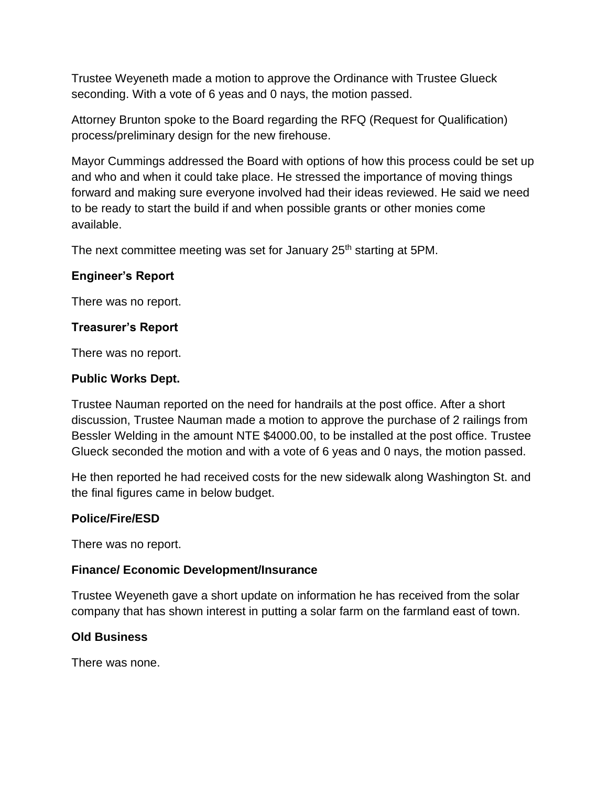Trustee Weyeneth made a motion to approve the Ordinance with Trustee Glueck seconding. With a vote of 6 yeas and 0 nays, the motion passed.

Attorney Brunton spoke to the Board regarding the RFQ (Request for Qualification) process/preliminary design for the new firehouse.

Mayor Cummings addressed the Board with options of how this process could be set up and who and when it could take place. He stressed the importance of moving things forward and making sure everyone involved had their ideas reviewed. He said we need to be ready to start the build if and when possible grants or other monies come available.

The next committee meeting was set for January 25<sup>th</sup> starting at 5PM.

# **Engineer's Report**

There was no report.

## **Treasurer's Report**

There was no report.

## **Public Works Dept.**

Trustee Nauman reported on the need for handrails at the post office. After a short discussion, Trustee Nauman made a motion to approve the purchase of 2 railings from Bessler Welding in the amount NTE \$4000.00, to be installed at the post office. Trustee Glueck seconded the motion and with a vote of 6 yeas and 0 nays, the motion passed.

He then reported he had received costs for the new sidewalk along Washington St. and the final figures came in below budget.

#### **Police/Fire/ESD**

There was no report.

# **Finance/ Economic Development/Insurance**

Trustee Weyeneth gave a short update on information he has received from the solar company that has shown interest in putting a solar farm on the farmland east of town.

# **Old Business**

There was none.